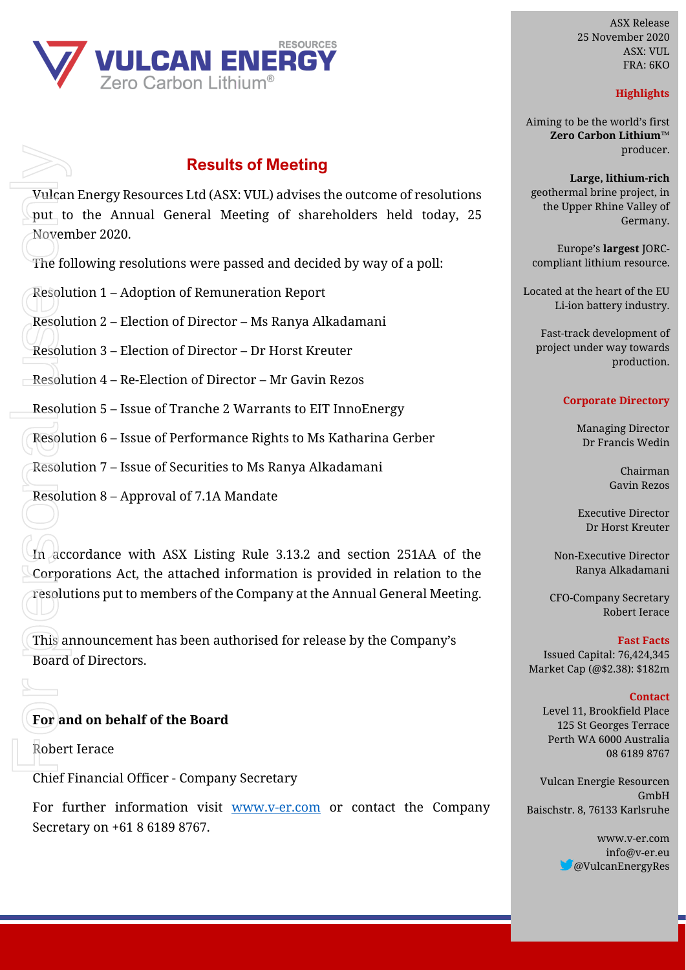

## **Results of Meeting**

 $\overline{\text{Vul}}$ can Energy Resources Ltd (ASX: VUL) advises the outcome of resolutions put to the Annual General Meeting of shareholders held today, 25 November 2020.

The following resolutions were passed and decided by way of a poll:

Resolution 1 – Adoption of Remuneration Report

Resolution 2 – Election of Director – Ms Ranya Alkadamani

Resolution 3 – Election of Director – Dr Horst Kreuter

 $\overline{\phantom{a}}$  Resolution 4 – Re-Election of Director – Mr Gavin Rezos

Resolution 5 – Issue of Tranche 2 Warrants to EIT InnoEnergy

Resolution 6 – Issue of Performance Rights to Ms Katharina Gerber

Resolution 7 – Issue of Securities to Ms Ranya Alkadamani

Resolution 8 – Approval of 7.1A Mandate

In accordance with ASX Listing Rule 3.13.2 and section 251AA of the Corporations Act, the attached information is provided in relation to the resolutions put to members of the Company at the Annual General Meeting. Vulcar<br>
put\_tc<br>
Novem<br>
The follower<br>
Resolu<br>
Resolu<br>
Resolu<br>
Resolu<br>
Resolu<br>
Resolu<br>
Resolu<br>
This an<br>
Board<br>
This an<br>
Board<br>
This an<br>
Board<br>
This an<br>
Board<br>
This Board<br>
Resolu<br>
This an<br>
Board<br>
This Board

This announcement has been authorised for release by the Company's Board of Directors.

### **For and on behalf of the Board**

Robert Ierace

Chief Financial Officer - Company Secretary

For further information visit [www.v-er.com](http://www.v-er.com/) or contact the Company Secretary on +61 8 6189 8767.

ASX Release 25 November 2020 ASX: VUL FRA: 6KO

#### **Highlights**

Aiming to be the world's first **Zero Carbon Lithium™** producer.

**Large, lithium-rich** geothermal brine project, in the Upper Rhine Valley of Germany.

Europe's **largest** JORCcompliant lithium resource.

Located at the heart of the EU Li-ion battery industry.

Fast-track development of project under way towards production.

#### **Corporate Directory**

Managing Director Dr Francis Wedin

> Chairman Gavin Rezos

Executive Director Dr Horst Kreuter

Non-Executive Director Ranya Alkadamani

CFO-Company Secretary Robert Ierace

**Fast Facts** Issued Capital: 76,424,345 Market Cap (@\$2.38): \$182m

#### **Contact**

Level 11, Brookfield Place 125 St Georges Terrace Perth WA 6000 Australia 08 6189 8767

Vulcan Energie Resourcen GmbH Baischstr. 8, 76133 Karlsruhe

> www.v-er.com info@v-er.eu @VulcanEnergyRes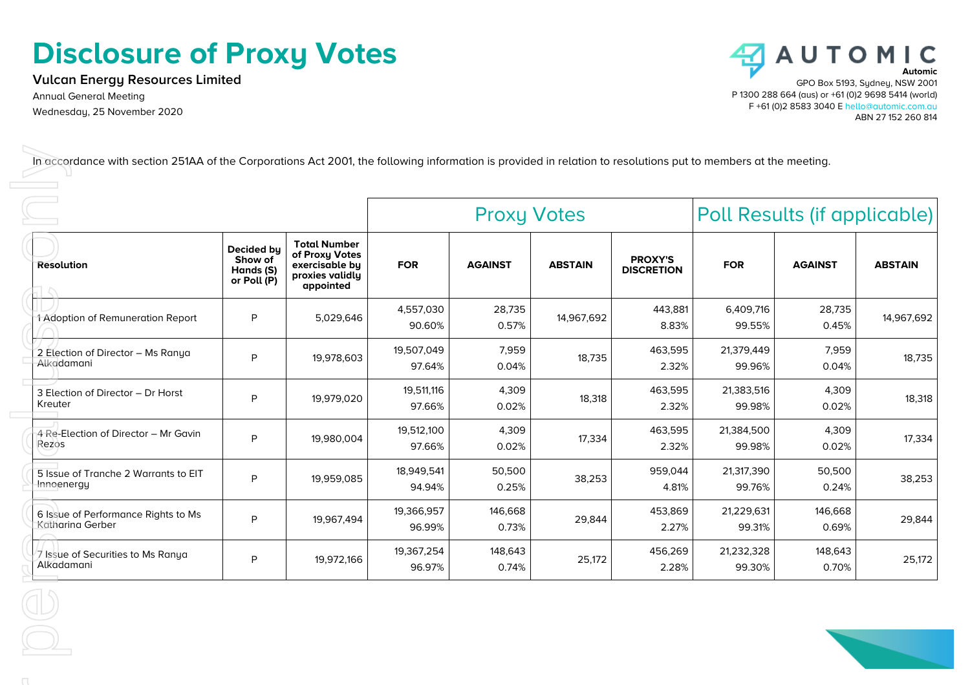# **Disclosure of Proxy Votes**

**Vulcan Energy Resources Limited** Annual General Meeting

Wednesday, 25 November 2020



|                                                         |                                                   | <b>Proxy Votes</b>                                                                      |                      | Poll Results (if applicable) |                |                                     |                      |                  |                |
|---------------------------------------------------------|---------------------------------------------------|-----------------------------------------------------------------------------------------|----------------------|------------------------------|----------------|-------------------------------------|----------------------|------------------|----------------|
| <b>Resolution</b>                                       | Decided by<br>Show of<br>Hands (S)<br>or Poll (P) | <b>Total Number</b><br>of Proxy Votes<br>exercisable by<br>proxies validly<br>appointed | <b>FOR</b>           | <b>AGAINST</b>               | <b>ABSTAIN</b> | <b>PROXY'S</b><br><b>DISCRETION</b> | <b>FOR</b>           | <b>AGAINST</b>   | <b>ABSTAIN</b> |
| 1 Adoption of Remuneration Report                       | P                                                 | 5,029,646                                                                               | 4,557,030<br>90.60%  | 28,735<br>0.57%              | 14,967,692     | 443,881<br>8.83%                    | 6,409,716<br>99.55%  | 28,735<br>0.45%  | 14,967,692     |
| 2 Election of Director - Ms Ranya<br>Alkadamani         | P                                                 | 19,978,603                                                                              | 19,507,049<br>97.64% | 7,959<br>0.04%               | 18,735         | 463,595<br>2.32%                    | 21,379,449<br>99.96% | 7,959<br>0.04%   | 18,735         |
| 3 Election of Director - Dr Horst<br>Kreuter            | P                                                 | 19,979,020                                                                              | 19,511,116<br>97.66% | 4,309<br>0.02%               | 18,318         | 463,595<br>2.32%                    | 21,383,516<br>99.98% | 4,309<br>0.02%   | 18,318         |
| 4 Re-Election of Director - Mr Gavin<br>Rezos           | P                                                 | 19,980,004                                                                              | 19,512,100<br>97.66% | 4,309<br>0.02%               | 17,334         | 463,595<br>2.32%                    | 21,384,500<br>99.98% | 4,309<br>0.02%   | 17,334         |
| 5 Issue of Tranche 2 Warrants to EIT<br>Innoenergy      | P                                                 | 19,959,085                                                                              | 18,949,541<br>94.94% | 50,500<br>0.25%              | 38,253         | 959,044<br>4.81%                    | 21,317,390<br>99.76% | 50,500<br>0.24%  | 38,253         |
| 6 Issue of Performance Rights to Ms<br>Katharina Gerber | P                                                 | 19,967,494                                                                              | 19,366,957<br>96.99% | 146,668<br>0.73%             | 29,844         | 453,869<br>2.27%                    | 21,229,631<br>99.31% | 146,668<br>0.69% | 29,844         |
| 7 Issue of Securities to Ms Ranya<br>Alkadamani         | P                                                 | 19,972,166                                                                              | 19,367,254<br>96.97% | 148,643<br>0.74%             | 25,172         | 456,269<br>2.28%                    | 21,232,328<br>99.30% | 148,643<br>0.70% | 25,172         |
|                                                         |                                                   |                                                                                         |                      |                              |                |                                     |                      |                  |                |
|                                                         |                                                   |                                                                                         |                      |                              |                |                                     |                      |                  |                |